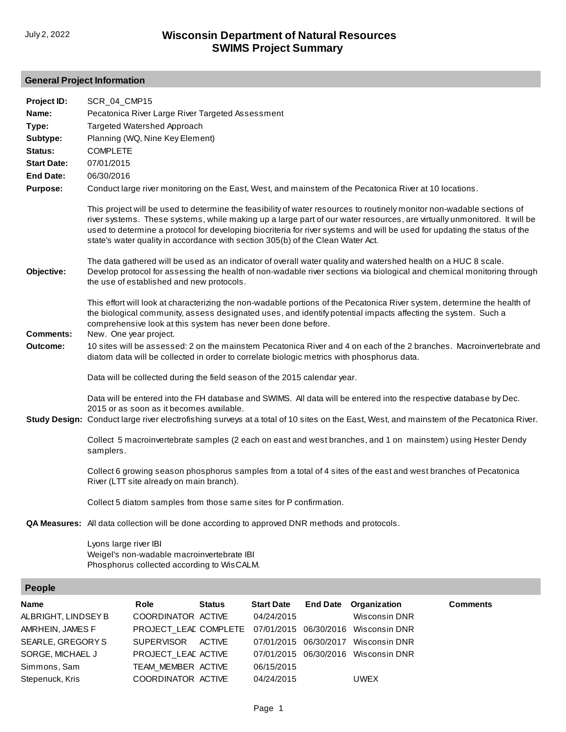## **General Project Information**

| Type:<br>Targeted Watershed Approach<br>Planning (WQ, Nine Key Element)<br>Subtype:<br>Status:<br><b>COMPLETE</b><br><b>Start Date:</b><br>07/01/2015<br><b>End Date:</b><br>06/30/2016<br><b>Purpose:</b><br>Conduct large river monitoring on the East, West, and mainstem of the Pecatonica River at 10 locations.<br>This project will be used to determine the feasibility of water resources to routinely monitor non-wadable sections of<br>river systems. These systems, while making up a large part of our water resources, are virtually unmonitored. It will be<br>used to determine a protocol for developing biocriteria for river systems and will be used for updating the status of the |  |
|----------------------------------------------------------------------------------------------------------------------------------------------------------------------------------------------------------------------------------------------------------------------------------------------------------------------------------------------------------------------------------------------------------------------------------------------------------------------------------------------------------------------------------------------------------------------------------------------------------------------------------------------------------------------------------------------------------|--|
|                                                                                                                                                                                                                                                                                                                                                                                                                                                                                                                                                                                                                                                                                                          |  |
|                                                                                                                                                                                                                                                                                                                                                                                                                                                                                                                                                                                                                                                                                                          |  |
|                                                                                                                                                                                                                                                                                                                                                                                                                                                                                                                                                                                                                                                                                                          |  |
|                                                                                                                                                                                                                                                                                                                                                                                                                                                                                                                                                                                                                                                                                                          |  |
| state's water quality in accordance with section 305(b) of the Clean Water Act.                                                                                                                                                                                                                                                                                                                                                                                                                                                                                                                                                                                                                          |  |
| The data gathered will be used as an indicator of overall water quality and watershed health on a HUC 8 scale.<br>Objective:<br>Develop protocol for assessing the health of non-wadable river sections via biological and chemical monitoring through<br>the use of established and new protocols.                                                                                                                                                                                                                                                                                                                                                                                                      |  |
| This effort will look at characterizing the non-wadable portions of the Pecatonica River system, determine the health of<br>the biological community, assess designated uses, and identify potential impacts affecting the system. Such a<br>comprehensive look at this system has never been done before.<br><b>Comments:</b><br>New. One year project.                                                                                                                                                                                                                                                                                                                                                 |  |
| 10 sites will be assessed: 2 on the mainstem Pecatonica River and 4 on each of the 2 branches. Macroinvertebrate and<br>Outcome:<br>diatom data will be collected in order to correlate biologic metrics with phosphorus data.                                                                                                                                                                                                                                                                                                                                                                                                                                                                           |  |
| Data will be collected during the field season of the 2015 calendar year.                                                                                                                                                                                                                                                                                                                                                                                                                                                                                                                                                                                                                                |  |
| Data will be entered into the FH database and SWIMS. All data will be entered into the respective database by Dec.<br>2015 or as soon as it becomes available.<br>Study Design: Conduct large river electrofishing surveys at a total of 10 sites on the East, West, and mainstem of the Pecatonica River.                                                                                                                                                                                                                                                                                                                                                                                               |  |
| Collect 5 macroinvertebrate samples (2 each on east and west branches, and 1 on mainstem) using Hester Dendy<br>samplers.                                                                                                                                                                                                                                                                                                                                                                                                                                                                                                                                                                                |  |
| Collect 6 growing season phosphorus samples from a total of 4 sites of the east and west branches of Pecatonica<br>River (LTT site already on main branch).                                                                                                                                                                                                                                                                                                                                                                                                                                                                                                                                              |  |
| Collect 5 diatom samples from those same sites for P confirmation.                                                                                                                                                                                                                                                                                                                                                                                                                                                                                                                                                                                                                                       |  |
| <b>QA Measures:</b> All data collection will be done according to approved DNR methods and protocols.                                                                                                                                                                                                                                                                                                                                                                                                                                                                                                                                                                                                    |  |
| Lyons large river IBI<br>Weigel's non-wadable macroinvertebrate IBI<br>Phosphorus collected according to WisCALM.                                                                                                                                                                                                                                                                                                                                                                                                                                                                                                                                                                                        |  |
| People                                                                                                                                                                                                                                                                                                                                                                                                                                                                                                                                                                                                                                                                                                   |  |
| <b>Role</b><br><b>Start Date</b><br><b>Comments</b><br><b>Status</b><br><b>End Date</b><br>Organization<br>Name<br>COOPDINATOR ACTIVE<br>0A/2A/201E<br>ALBRICHT LINDSEVR<br>Wieconsin DNP                                                                                                                                                                                                                                                                                                                                                                                                                                                                                                                |  |

| ALBRIGHT, LINDSEY B | COORDINATOR ACTIVE                                        | 04/24/2015 | Wisconsin DNR                       |  |
|---------------------|-----------------------------------------------------------|------------|-------------------------------------|--|
| AMRHEIN, JAMES F    | PROJECT LEAL COMPLETE 07/01/2015 06/30/2016 Wisconsin DNR |            |                                     |  |
| SEARLE, GREGORY S   | SUPERVISOR ACTIVE                                         |            | 07/01/2015 06/30/2017 Wisconsin DNR |  |
| SORGE, MICHAEL J    | PROJECT LEAD ACTIVE                                       |            | 07/01/2015 06/30/2016 Wisconsin DNR |  |
| Simmons, Sam        | TEAM MEMBER ACTIVE                                        | 06/15/2015 |                                     |  |
| Stepenuck, Kris     | COORDINATOR ACTIVE                                        | 04/24/2015 | <b>UWEX</b>                         |  |
|                     |                                                           |            |                                     |  |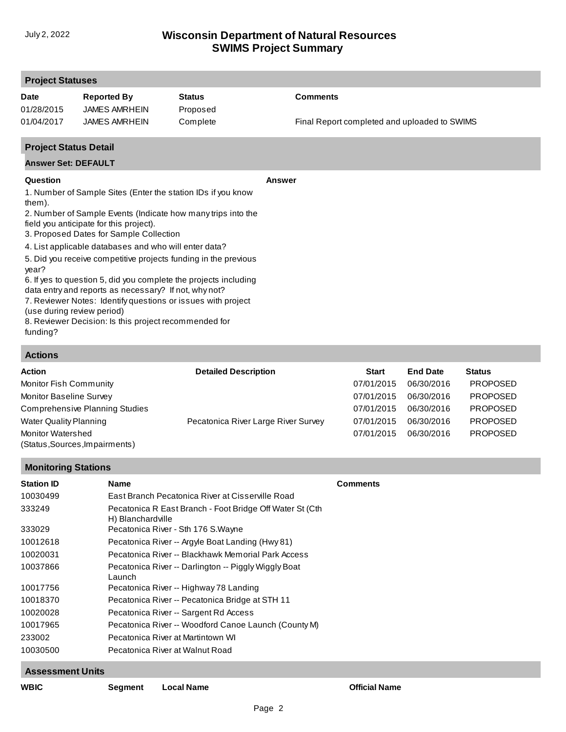| <b>Project Statuses</b>                                               |                                                                                                                                                                                                                                                                                                                                                                                                                                                                                                                                                                                                      |                           |                                              |
|-----------------------------------------------------------------------|------------------------------------------------------------------------------------------------------------------------------------------------------------------------------------------------------------------------------------------------------------------------------------------------------------------------------------------------------------------------------------------------------------------------------------------------------------------------------------------------------------------------------------------------------------------------------------------------------|---------------------------|----------------------------------------------|
| <b>Date</b><br>01/28/2015                                             | <b>Reported By</b><br><b>JAMES AMRHEIN</b>                                                                                                                                                                                                                                                                                                                                                                                                                                                                                                                                                           | <b>Status</b><br>Proposed | <b>Comments</b>                              |
| 01/04/2017                                                            | <b>JAMES AMRHEIN</b>                                                                                                                                                                                                                                                                                                                                                                                                                                                                                                                                                                                 | Complete                  | Final Report completed and uploaded to SWIMS |
| <b>Project Status Detail</b>                                          |                                                                                                                                                                                                                                                                                                                                                                                                                                                                                                                                                                                                      |                           |                                              |
| <b>Answer Set: DEFAULT</b>                                            |                                                                                                                                                                                                                                                                                                                                                                                                                                                                                                                                                                                                      |                           |                                              |
| Question<br>them).<br>year?<br>(use during review period)<br>funding? | 1. Number of Sample Sites (Enter the station IDs if you know<br>2. Number of Sample Events (Indicate how many trips into the<br>field you anticipate for this project).<br>3. Proposed Dates for Sample Collection<br>4. List applicable databases and who will enter data?<br>5. Did you receive competitive projects funding in the previous<br>6. If yes to question 5, did you complete the projects including<br>data entry and reports as necessary? If not, why not?<br>7. Reviewer Notes: Identify questions or issues with project<br>8. Reviewer Decision: Is this project recommended for |                           | Answer                                       |
| <b>Actions</b>                                                        |                                                                                                                                                                                                                                                                                                                                                                                                                                                                                                                                                                                                      |                           |                                              |

| лучунэ |  |
|--------|--|
|        |  |
| Action |  |

| <b>Action</b>                                              | <b>Detailed Description</b>         | <b>Start</b> | <b>End Date</b> | <b>Status</b>   |
|------------------------------------------------------------|-------------------------------------|--------------|-----------------|-----------------|
| Monitor Fish Community                                     |                                     | 07/01/2015   | 06/30/2016      | <b>PROPOSED</b> |
| Monitor Baseline Survey                                    |                                     | 07/01/2015   | 06/30/2016      | <b>PROPOSED</b> |
| <b>Comprehensive Planning Studies</b>                      |                                     | 07/01/2015   | 06/30/2016      | <b>PROPOSED</b> |
| <b>Water Quality Planning</b>                              | Pecatonica River Large River Survey | 07/01/2015   | 06/30/2016      | <b>PROPOSED</b> |
| <b>Monitor Watershed</b><br>(Status, Sources, Impairments) |                                     | 07/01/2015   | 06/30/2016      | <b>PROPOSED</b> |

#### **Monitoring Stations**

| <b>Station ID</b> | <b>Name</b>                                                                    | <b>Comments</b> |
|-------------------|--------------------------------------------------------------------------------|-----------------|
| 10030499          | East Branch Pecatonica River at Cisserville Road                               |                 |
| 333249            | Pecatonica R East Branch - Foot Bridge Off Water St (Cth)<br>H) Blanchardville |                 |
| 333029            | Pecatonica River - Sth 176 S. Wayne                                            |                 |
| 10012618          | Pecatonica River -- Argyle Boat Landing (Hwy 81)                               |                 |
| 10020031          | Pecatonica River -- Blackhawk Memorial Park Access                             |                 |
| 10037866          | Pecatonica River -- Darlington -- Piggly Wiggly Boat<br>Launch                 |                 |
| 10017756          | Pecatonica River -- Highway 78 Landing                                         |                 |
| 10018370          | Pecatonica River -- Pecatonica Bridge at STH 11                                |                 |
| 10020028          | Pecatonica River -- Sargent Rd Access                                          |                 |
| 10017965          | Pecatonica River -- Woodford Canoe Launch (County M)                           |                 |
| 233002            | Pecatonica River at Martintown WI                                              |                 |
| 10030500          | Pecatonica River at Walnut Road                                                |                 |

# **Assessment Units**

|--|--|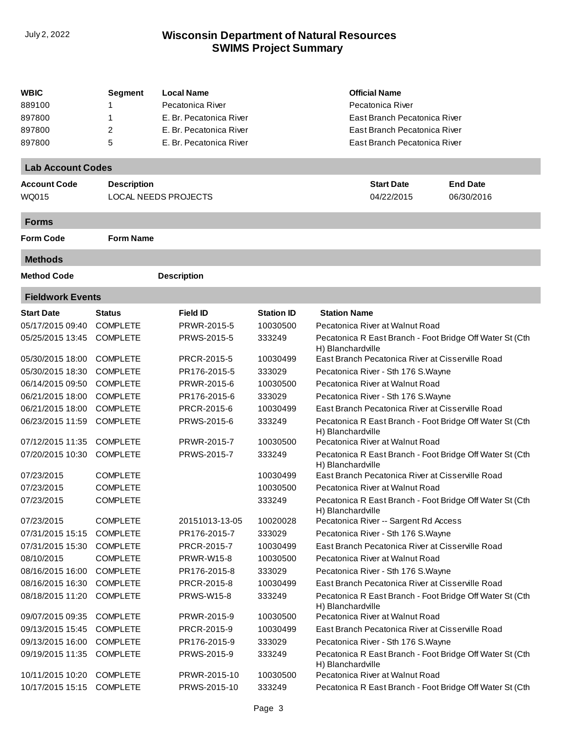| WBIC                     | <b>Segment</b>     | <b>Local Name</b>           |                   | <b>Official Name</b>                                                          |                 |
|--------------------------|--------------------|-----------------------------|-------------------|-------------------------------------------------------------------------------|-----------------|
| 889100                   |                    | Pecatonica River            |                   | Pecatonica River                                                              |                 |
| 897800                   | 1                  | E. Br. Pecatonica River     |                   | East Branch Pecatonica River                                                  |                 |
| 897800                   | 2                  | E. Br. Pecatonica River     |                   | East Branch Pecatonica River                                                  |                 |
| 897800                   | 5                  | E. Br. Pecatonica River     |                   | East Branch Pecatonica River                                                  |                 |
| <b>Lab Account Codes</b> |                    |                             |                   |                                                                               |                 |
| <b>Account Code</b>      | <b>Description</b> |                             |                   | <b>Start Date</b>                                                             | <b>End Date</b> |
| WQ015                    |                    | <b>LOCAL NEEDS PROJECTS</b> |                   | 04/22/2015                                                                    | 06/30/2016      |
| <b>Forms</b>             |                    |                             |                   |                                                                               |                 |
| <b>Form Code</b>         | <b>Form Name</b>   |                             |                   |                                                                               |                 |
| <b>Methods</b>           |                    |                             |                   |                                                                               |                 |
| <b>Method Code</b>       |                    | <b>Description</b>          |                   |                                                                               |                 |
| <b>Fieldwork Events</b>  |                    |                             |                   |                                                                               |                 |
| <b>Start Date</b>        | <b>Status</b>      | <b>Field ID</b>             | <b>Station ID</b> | <b>Station Name</b>                                                           |                 |
| 05/17/2015 09:40         | <b>COMPLETE</b>    | PRWR-2015-5                 | 10030500          | Pecatonica River at Walnut Road                                               |                 |
| 05/25/2015 13:45         | <b>COMPLETE</b>    | PRWS-2015-5                 | 333249            | Pecatonica R East Branch - Foot Bridge Off Water St (Cth<br>H) Blanchardville |                 |
| 05/30/2015 18:00         | <b>COMPLETE</b>    | PRCR-2015-5                 | 10030499          | East Branch Pecatonica River at Cisserville Road                              |                 |
| 05/30/2015 18:30         | <b>COMPLETE</b>    | PR176-2015-5                | 333029            | Pecatonica River - Sth 176 S. Wayne                                           |                 |
| 06/14/2015 09:50         | <b>COMPLETE</b>    | PRWR-2015-6                 | 10030500          | Pecatonica River at Walnut Road                                               |                 |
| 06/21/2015 18:00         | <b>COMPLETE</b>    | PR176-2015-6                | 333029            | Pecatonica River - Sth 176 S. Wayne                                           |                 |
| 06/21/2015 18:00         | <b>COMPLETE</b>    | PRCR-2015-6                 | 10030499          | East Branch Pecatonica River at Cisserville Road                              |                 |
| 06/23/2015 11:59         | <b>COMPLETE</b>    | PRWS-2015-6                 | 333249            | Pecatonica R East Branch - Foot Bridge Off Water St (Cth<br>H) Blanchardville |                 |
| 07/12/2015 11:35         | <b>COMPLETE</b>    | PRWR-2015-7                 | 10030500          | Pecatonica River at Walnut Road                                               |                 |
| 07/20/2015 10:30         | <b>COMPLETE</b>    | PRWS-2015-7                 | 333249            | Pecatonica R East Branch - Foot Bridge Off Water St (Cth<br>H) Blanchardville |                 |
| 07/23/2015               | <b>COMPLETE</b>    |                             | 10030499          | East Branch Pecatonica River at Cisserville Road                              |                 |
| 07/23/2015               | <b>COMPLETE</b>    |                             | 10030500          | Pecatonica River at Walnut Road                                               |                 |
| 07/23/2015               | <b>COMPLETE</b>    |                             | 333249            | Pecatonica R East Branch - Foot Bridge Off Water St (Cth<br>H) Blanchardville |                 |
| 07/23/2015               | <b>COMPLETE</b>    | 20151013-13-05              | 10020028          | Pecatonica River -- Sargent Rd Access                                         |                 |
| 07/31/2015 15:15         | <b>COMPLETE</b>    | PR176-2015-7                | 333029            | Pecatonica River - Sth 176 S. Wayne                                           |                 |
| 07/31/2015 15:30         | <b>COMPLETE</b>    | PRCR-2015-7                 | 10030499          | East Branch Pecatonica River at Cisserville Road                              |                 |
| 08/10/2015               | <b>COMPLETE</b>    | <b>PRWR-W15-8</b>           | 10030500          | Pecatonica River at Walnut Road                                               |                 |
| 08/16/2015 16:00         | <b>COMPLETE</b>    | PR176-2015-8                | 333029            | Pecatonica River - Sth 176 S. Wayne                                           |                 |
| 08/16/2015 16:30         | <b>COMPLETE</b>    | PRCR-2015-8                 | 10030499          | East Branch Pecatonica River at Cisserville Road                              |                 |
| 08/18/2015 11:20         | <b>COMPLETE</b>    | <b>PRWS-W15-8</b>           | 333249            | Pecatonica R East Branch - Foot Bridge Off Water St (Cth<br>H) Blanchardville |                 |
| 09/07/2015 09:35         | <b>COMPLETE</b>    | PRWR-2015-9                 | 10030500          | Pecatonica River at Walnut Road                                               |                 |
| 09/13/2015 15:45         | <b>COMPLETE</b>    | PRCR-2015-9                 | 10030499          | East Branch Pecatonica River at Cisserville Road                              |                 |
| 09/13/2015 16:00         | <b>COMPLETE</b>    | PR176-2015-9                | 333029            | Pecatonica River - Sth 176 S. Wayne                                           |                 |
| 09/19/2015 11:35         | <b>COMPLETE</b>    | PRWS-2015-9                 | 333249            | Pecatonica R East Branch - Foot Bridge Off Water St (Cth<br>H) Blanchardville |                 |
| 10/11/2015 10:20         | <b>COMPLETE</b>    | PRWR-2015-10                | 10030500          | Pecatonica River at Walnut Road                                               |                 |
| 10/17/2015 15:15         | <b>COMPLETE</b>    | PRWS-2015-10                | 333249            | Pecatonica R East Branch - Foot Bridge Off Water St (Cth                      |                 |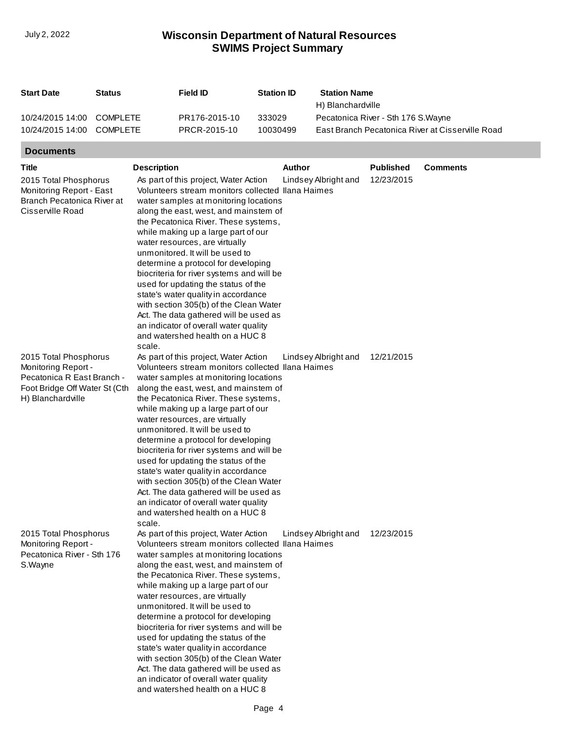| <b>Start Date</b>         | Status   | Field ID      | <b>Station ID</b> | <b>Station Name</b>                              |
|---------------------------|----------|---------------|-------------------|--------------------------------------------------|
|                           |          |               |                   | H) Blanchardville                                |
| 10/24/2015 14:00 COMPLETE |          | PR176-2015-10 | 333029            | Pecatonica River - Sth 176 S. Wayne              |
| 10/24/2015 14:00          | COMPLETE | PRCR-2015-10  | 10030499          | East Branch Pecatonica River at Cisserville Road |

# **Documents**

| <b>Title</b>                                                                                                                     | <b>Description</b>                                                                                                                                                                                                                                                                                                                                                                                                                                                                                                                                                                                                                                                           | <b>Author</b>        | <b>Published</b> | <b>Comments</b> |
|----------------------------------------------------------------------------------------------------------------------------------|------------------------------------------------------------------------------------------------------------------------------------------------------------------------------------------------------------------------------------------------------------------------------------------------------------------------------------------------------------------------------------------------------------------------------------------------------------------------------------------------------------------------------------------------------------------------------------------------------------------------------------------------------------------------------|----------------------|------------------|-----------------|
| 2015 Total Phosphorus<br>Monitoring Report - East<br>Branch Pecatonica River at<br>Cisserville Road                              | As part of this project, Water Action<br>Volunteers stream monitors collected Ilana Haimes<br>water samples at monitoring locations<br>along the east, west, and mainstem of<br>the Pecatonica River. These systems,<br>while making up a large part of our<br>water resources, are virtually<br>unmonitored. It will be used to<br>determine a protocol for developing<br>biocriteria for river systems and will be<br>used for updating the status of the<br>state's water quality in accordance<br>with section 305(b) of the Clean Water<br>Act. The data gathered will be used as<br>an indicator of overall water quality<br>and watershed health on a HUC 8<br>scale. | Lindsey Albright and | 12/23/2015       |                 |
| 2015 Total Phosphorus<br>Monitoring Report -<br>Pecatonica R East Branch -<br>Foot Bridge Off Water St (Cth<br>H) Blanchardville | As part of this project, Water Action<br>Volunteers stream monitors collected Ilana Haimes<br>water samples at monitoring locations<br>along the east, west, and mainstem of<br>the Pecatonica River. These systems,<br>while making up a large part of our<br>water resources, are virtually<br>unmonitored. It will be used to<br>determine a protocol for developing<br>biocriteria for river systems and will be<br>used for updating the status of the<br>state's water quality in accordance<br>with section 305(b) of the Clean Water<br>Act. The data gathered will be used as<br>an indicator of overall water quality<br>and watershed health on a HUC 8<br>scale. | Lindsey Albright and | 12/21/2015       |                 |
| 2015 Total Phosphorus<br>Monitoring Report -<br>Pecatonica River - Sth 176<br>S.Wayne                                            | As part of this project, Water Action<br>Volunteers stream monitors collected Ilana Haimes<br>water samples at monitoring locations<br>along the east, west, and mainstem of<br>the Pecatonica River. These systems.<br>while making up a large part of our<br>water resources, are virtually<br>unmonitored. It will be used to<br>determine a protocol for developing<br>biocriteria for river systems and will be<br>used for updating the status of the<br>state's water quality in accordance<br>with section 305(b) of the Clean Water<br>Act. The data gathered will be used as<br>an indicator of overall water quality<br>and watershed health on a HUC 8           | Lindsey Albright and | 12/23/2015       |                 |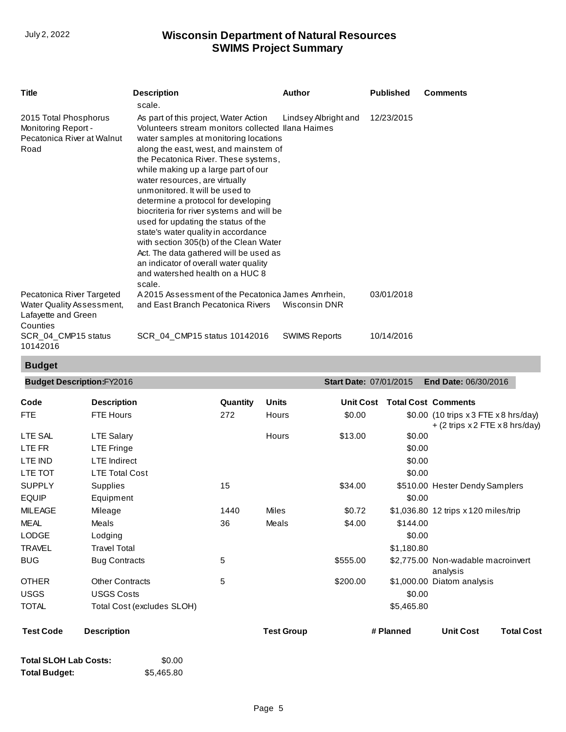| <b>Title</b>                                                                              | <b>Description</b>                                                                                                                                                                                                                                                                                                                                                                                                                                                                                                                                                                                                                                                           | <b>Author</b>        | <b>Published</b> | <b>Comments</b> |
|-------------------------------------------------------------------------------------------|------------------------------------------------------------------------------------------------------------------------------------------------------------------------------------------------------------------------------------------------------------------------------------------------------------------------------------------------------------------------------------------------------------------------------------------------------------------------------------------------------------------------------------------------------------------------------------------------------------------------------------------------------------------------------|----------------------|------------------|-----------------|
|                                                                                           | scale.                                                                                                                                                                                                                                                                                                                                                                                                                                                                                                                                                                                                                                                                       |                      |                  |                 |
| 2015 Total Phosphorus<br>Monitoring Report -<br>Pecatonica River at Walnut<br>Road        | As part of this project, Water Action<br>Volunteers stream monitors collected Ilana Haimes<br>water samples at monitoring locations<br>along the east, west, and mainstem of<br>the Pecatonica River. These systems,<br>while making up a large part of our<br>water resources, are virtually<br>unmonitored. It will be used to<br>determine a protocol for developing<br>biocriteria for river systems and will be<br>used for updating the status of the<br>state's water quality in accordance<br>with section 305(b) of the Clean Water<br>Act. The data gathered will be used as<br>an indicator of overall water quality<br>and watershed health on a HUC 8<br>scale. | Lindsey Albright and | 12/23/2015       |                 |
| Pecatonica River Targeted<br>Water Quality Assessment,<br>Lafayette and Green<br>Counties | A 2015 Assessment of the Pecatonica James Amrhein,<br>and East Branch Pecatonica Rivers                                                                                                                                                                                                                                                                                                                                                                                                                                                                                                                                                                                      | Wisconsin DNR        | 03/01/2018       |                 |
| SCR 04 CMP15 status<br>10142016                                                           | SCR_04_CMP15 status 10142016                                                                                                                                                                                                                                                                                                                                                                                                                                                                                                                                                                                                                                                 | <b>SWIMS Reports</b> | 10/14/2016       |                 |

## **Budget**

| <b>Description</b><br>FTE Hours<br><b>LTE Salary</b><br>LTE Fringe<br><b>LTE</b> Indirect<br><b>LTE Total Cost</b><br>Supplies | Quantity<br>272<br>15 | <b>Units</b><br>Hours<br>Hours | <b>Unit Cost</b><br>\$0.00<br>\$13.00 | \$0.00<br>\$0.00<br>\$0.00<br>\$0.00 | <b>Total Cost Comments</b><br>\$0.00 (10 trips x 3 FTE x 8 hrs/day)<br>$+$ (2 trips $x2$ FTE $x8$ hrs/day) |                                                                                                                                                                                  |
|--------------------------------------------------------------------------------------------------------------------------------|-----------------------|--------------------------------|---------------------------------------|--------------------------------------|------------------------------------------------------------------------------------------------------------|----------------------------------------------------------------------------------------------------------------------------------------------------------------------------------|
|                                                                                                                                |                       |                                |                                       |                                      |                                                                                                            |                                                                                                                                                                                  |
|                                                                                                                                |                       |                                |                                       |                                      |                                                                                                            |                                                                                                                                                                                  |
|                                                                                                                                |                       |                                |                                       |                                      |                                                                                                            |                                                                                                                                                                                  |
|                                                                                                                                |                       |                                |                                       |                                      |                                                                                                            |                                                                                                                                                                                  |
|                                                                                                                                |                       |                                |                                       |                                      |                                                                                                            |                                                                                                                                                                                  |
|                                                                                                                                |                       |                                |                                       |                                      |                                                                                                            |                                                                                                                                                                                  |
|                                                                                                                                |                       |                                | \$34.00                               |                                      | \$510.00 Hester Dendy Samplers                                                                             |                                                                                                                                                                                  |
| Equipment                                                                                                                      |                       |                                |                                       | \$0.00                               |                                                                                                            |                                                                                                                                                                                  |
| Mileage                                                                                                                        | 1440                  | Miles                          | \$0.72                                |                                      |                                                                                                            |                                                                                                                                                                                  |
| Meals                                                                                                                          | 36                    | Meals                          | \$4.00                                |                                      |                                                                                                            |                                                                                                                                                                                  |
| Lodging                                                                                                                        |                       |                                |                                       |                                      |                                                                                                            |                                                                                                                                                                                  |
| <b>Travel Total</b>                                                                                                            |                       |                                |                                       |                                      |                                                                                                            |                                                                                                                                                                                  |
| <b>Bug Contracts</b>                                                                                                           | 5                     |                                | \$555.00                              |                                      |                                                                                                            |                                                                                                                                                                                  |
| <b>Other Contracts</b>                                                                                                         | 5                     |                                | \$200.00                              |                                      |                                                                                                            |                                                                                                                                                                                  |
| <b>USGS Costs</b>                                                                                                              |                       |                                |                                       |                                      |                                                                                                            |                                                                                                                                                                                  |
| Total Cost (excludes SLOH)                                                                                                     |                       |                                |                                       |                                      |                                                                                                            |                                                                                                                                                                                  |
| <b>Description</b>                                                                                                             |                       | <b>Test Group</b>              |                                       |                                      | <b>Unit Cost</b>                                                                                           | <b>Total Cost</b>                                                                                                                                                                |
|                                                                                                                                |                       |                                |                                       |                                      | # Planned                                                                                                  | \$1,036.80 12 trips x 120 miles/trip<br>\$144.00<br>\$0.00<br>\$1,180.80<br>\$2,775.00 Non-wadable macroinvert<br>analysis<br>\$1,000.00 Diatom analysis<br>\$0.00<br>\$5,465.80 |